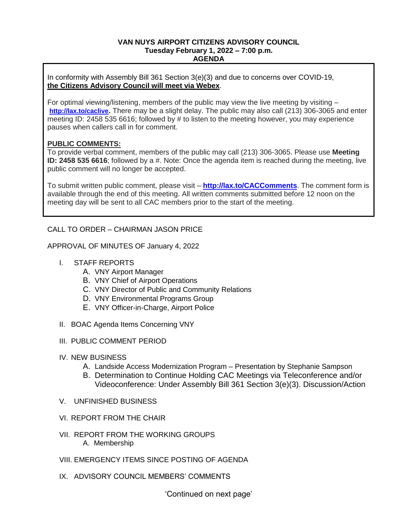### **VAN NUYS AIRPORT CITIZENS ADVISORY COUNCIL Tuesday February 1, 2022 – 7:00 p.m. AGENDA**

In conformity with Assembly Bill 361 Section 3(e)(3) and due to concerns over COVID-19, **the Citizens Advisory Council will meet via Webex**.

For optimal viewing/listening, members of the public may view the live meeting by visiting – **<http://lax.to/caclive>.** There may be a slight delay. The public may also call (213) 306-3065 and enter meeting ID: 2458 535 6616; followed by # to listen to the meeting however, you may experience pauses when callers call in for comment.

## **PUBLIC COMMENTS:**

To provide verbal comment, members of the public may call (213) 306-3065. Please use **Meeting ID: 2458 535 6616**; followed by a #. Note: Once the agenda item is reached during the meeting, live public comment will no longer be accepted.

To submit written public comment, please visit – **<http://lax.to/CACComments>**. The comment form is available through the end of this meeting. All written comments submitted before 12 noon on the meeting day will be sent to all CAC members prior to the start of the meeting.

# CALL TO ORDER – CHAIRMAN JASON PRICE

APPROVAL OF MINUTES OF January 4, 2022

- I. STAFF REPORTS
	- A. VNY Airport Manager
	- B. VNY Chief of Airport Operations
	- C. VNY Director of Public and Community Relations
	- D. VNY Environmental Programs Group
	- E. VNY Officer-in-Charge, Airport Police
- II. BOAC Agenda Items Concerning VNY
- III. PUBLIC COMMENT PERIOD
- IV. NEW BUSINESS
	- A. Landside Access Modernization Program Presentation by Stephanie Sampson
	- B. Determination to Continue Holding CAC Meetings via Teleconference and/or Videoconference: Under Assembly Bill 361 Section 3(e)(3). Discussion/Action
- V. UNFINISHED BUSINESS
- VI. REPORT FROM THE CHAIR
- VII. REPORT FROM THE WORKING GROUPS A. Membership
- VIII. EMERGENCY ITEMS SINCE POSTING OF AGENDA
- IX. ADVISORY COUNCIL MEMBERS' COMMENTS

'Continued on next page'